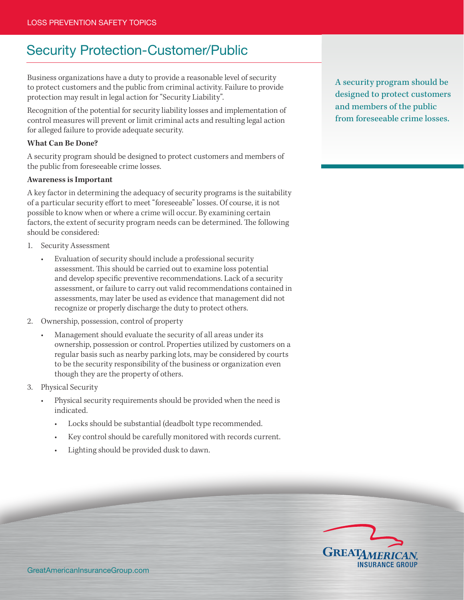# Security Protection-Customer/Public

Business organizations have a duty to provide a reasonable level of security to protect customers and the public from criminal activity. Failure to provide protection may result in legal action for "Security Liability".

Recognition of the potential for security liability losses and implementation of control measures will prevent or limit criminal acts and resulting legal action for alleged failure to provide adequate security.

## **What Can Be Done?**

A security program should be designed to protect customers and members of the public from foreseeable crime losses.

### **Awareness is Important**

A key factor in determining the adequacy of security programs is the suitability of a particular security effort to meet "foreseeable" losses. Of course, it is not possible to know when or where a crime will occur. By examining certain factors, the extent of security program needs can be determined. The following should be considered:

- 1. Security Assessment
	- Evaluation of security should include a professional security assessment. This should be carried out to examine loss potential and develop specific preventive recommendations. Lack of a security assessment, or failure to carry out valid recommendations contained in assessments, may later be used as evidence that management did not recognize or properly discharge the duty to protect others.
- 2. Ownership, possession, control of property
	- Management should evaluate the security of all areas under its ownership, possession or control. Properties utilized by customers on a regular basis such as nearby parking lots, may be considered by courts to be the security responsibility of the business or organization even though they are the property of others.
- 3. Physical Security
	- Physical security requirements should be provided when the need is indicated.
		- Locks should be substantial (deadbolt type recommended.
		- Key control should be carefully monitored with records current.
		- Lighting should be provided dusk to dawn.

A security program should be designed to protect customers and members of the public from foreseeable crime losses.